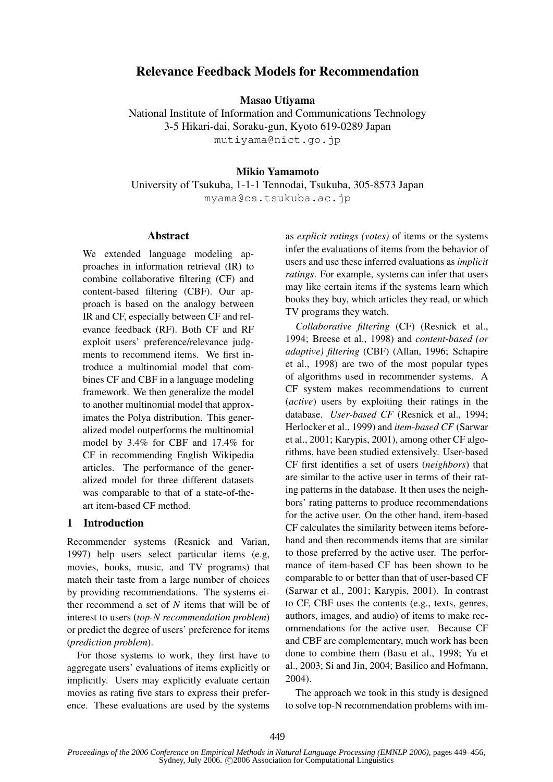# Relevance Feedback Models for Recommendation

Masao Utiyama

National Institute of Information and Communications Technology 3-5 Hikari-dai, Soraku-gun, Kyoto 619-0289 Japan mutiyama@nict.go.jp

# Mikio Yamamoto

University of Tsukuba, 1-1-1 Tennodai, Tsukuba, 305-8573 Japan myama@cs.tsukuba.ac.jp

### Abstract

We extended language modeling approaches in information retrieval (IR) to combine collaborative filtering (CF) and content-based filtering (CBF). Our approach is based on the analogy between IR and CF, especially between CF and relevance feedback (RF). Both CF and RF exploit users' preference/relevance judgments to recommend items. We first introduce a multinomial model that combines CF and CBF in a language modeling framework. We then generalize the model to another multinomial model that approximates the Polya distribution. This generalized model outperforms the multinomial model by 3.4% for CBF and 17.4% for CF in recommending English Wikipedia articles. The performance of the generalized model for three different datasets was comparable to that of a state-of-theart item-based CF method.

## 1 Introduction

Recommender systems (Resnick and Varian, 1997) help users select particular items (e.g, movies, books, music, and TV programs) that match their taste from a large number of choices by providing recommendations. The systems either recommend a set of *N* items that will be of interest to users (*top-N recommendation problem*) or predict the degree of users' preference for items (*prediction problem*).

For those systems to work, they first have to aggregate users' evaluations of items explicitly or implicitly. Users may explicitly evaluate certain movies as rating five stars to express their preference. These evaluations are used by the systems

as *explicit ratings (votes)* of items or the systems infer the evaluations of items from the behavior of users and use these inferred evaluations as *implicit ratings*. For example, systems can infer that users may like certain items if the systems learn which books they buy, which articles they read, or which TV programs they watch.

*Collaborative filtering* (CF) (Resnick et al., 1994; Breese et al., 1998) and *content-based (or adaptive) filtering* (CBF) (Allan, 1996; Schapire et al., 1998) are two of the most popular types of algorithms used in recommender systems. A CF system makes recommendations to current (*active*) users by exploiting their ratings in the database. *User-based CF* (Resnick et al., 1994; Herlocker et al., 1999) and *item-based CF* (Sarwar et al., 2001; Karypis, 2001), among other CF algorithms, have been studied extensively. User-based CF first identifies a set of users (*neighbors*) that are similar to the active user in terms of their rating patterns in the database. It then uses the neighbors' rating patterns to produce recommendations for the active user. On the other hand, item-based CF calculates the similarity between items beforehand and then recommends items that are similar to those preferred by the active user. The performance of item-based CF has been shown to be comparable to or better than that of user-based CF (Sarwar et al., 2001; Karypis, 2001). In contrast to CF, CBF uses the contents (e.g., texts, genres, authors, images, and audio) of items to make recommendations for the active user. Because CF and CBF are complementary, much work has been done to combine them (Basu et al., 1998; Yu et al., 2003; Si and Jin, 2004; Basilico and Hofmann, 2004).

The approach we took in this study is designed to solve top-N recommendation problems with im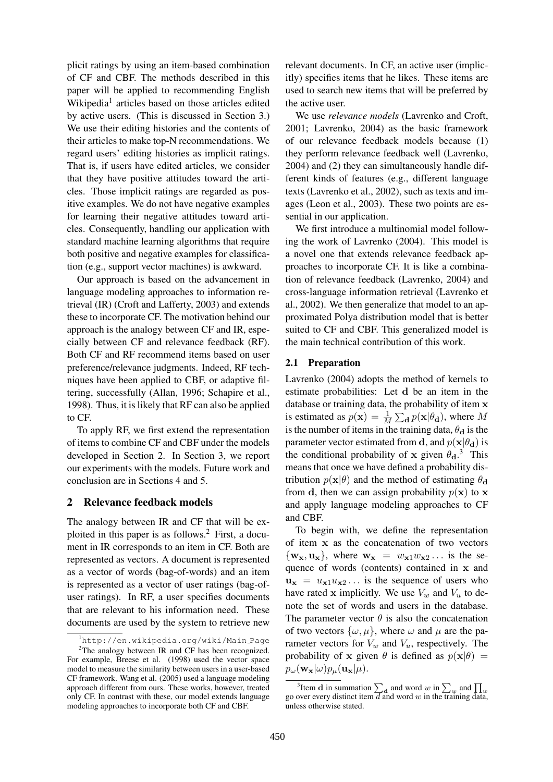plicit ratings by using an item-based combination of CF and CBF. The methods described in this paper will be applied to recommending English Wikipedia<sup>1</sup> articles based on those articles edited by active users. (This is discussed in Section 3.) We use their editing histories and the contents of their articles to make top-N recommendations. We regard users' editing histories as implicit ratings. That is, if users have edited articles, we consider that they have positive attitudes toward the articles. Those implicit ratings are regarded as positive examples. We do not have negative examples for learning their negative attitudes toward articles. Consequently, handling our application with standard machine learning algorithms that require both positive and negative examples for classification (e.g., support vector machines) is awkward.

Our approach is based on the advancement in language modeling approaches to information retrieval (IR) (Croft and Lafferty, 2003) and extends these to incorporate CF. The motivation behind our approach is the analogy between CF and IR, especially between CF and relevance feedback (RF). Both CF and RF recommend items based on user preference/relevance judgments. Indeed, RF techniques have been applied to CBF, or adaptive filtering, successfully (Allan, 1996; Schapire et al., 1998). Thus, it is likely that RF can also be applied to CF.

To apply RF, we first extend the representation of items to combine CF and CBF under the models developed in Section 2. In Section 3, we report our experiments with the models. Future work and conclusion are in Sections 4 and 5.

## 2 Relevance feedback models

The analogy between IR and CF that will be exploited in this paper is as follows.<sup>2</sup> First, a document in IR corresponds to an item in CF. Both are represented as vectors. A document is represented as a vector of words (bag-of-words) and an item is represented as a vector of user ratings (bag-ofuser ratings). In RF, a user specifies documents that are relevant to his information need. These documents are used by the system to retrieve new

relevant documents. In CF, an active user (implicitly) specifies items that he likes. These items are used to search new items that will be preferred by the active user.

We use *relevance models* (Lavrenko and Croft, 2001; Lavrenko, 2004) as the basic framework of our relevance feedback models because (1) they perform relevance feedback well (Lavrenko, 2004) and (2) they can simultaneously handle different kinds of features (e.g., different language texts (Lavrenko et al., 2002), such as texts and images (Leon et al., 2003). These two points are essential in our application.

We first introduce a multinomial model following the work of Lavrenko (2004). This model is a novel one that extends relevance feedback approaches to incorporate CF. It is like a combination of relevance feedback (Lavrenko, 2004) and cross-language information retrieval (Lavrenko et al., 2002). We then generalize that model to an approximated Polya distribution model that is better suited to CF and CBF. This generalized model is the main technical contribution of this work.

## 2.1 Preparation

Lavrenko (2004) adopts the method of kernels to estimate probabilities: Let d be an item in the database or training data, the probability of item  $\mathbf x$ is estimated as  $p(\mathbf{x}) = \frac{1}{M} \sum_{\mathbf{d}} p(\mathbf{x}|\theta_{\mathbf{d}})$ , where M is the number of items in the training data,  $\theta_d$  is the parameter vector estimated from d, and  $p(x|\theta_d)$  is the conditional probability of x given  $\theta_d$ <sup>3</sup>. This means that once we have defined a probability distribution  $p(\mathbf{x}|\theta)$  and the method of estimating  $\theta_d$ from d, then we can assign probability  $p(x)$  to x and apply language modeling approaches to CF and CBF.

To begin with, we define the representation of item x as the concatenation of two vectors  $\{w_x, u_x\}$ , where  $w_x = w_{x1}w_{x2}...$  is the sequence of words (contents) contained in x and  $u_x = u_{x1}u_{x2}...$  is the sequence of users who have rated x implicitly. We use  $V_w$  and  $V_u$  to denote the set of words and users in the database. The parameter vector  $\theta$  is also the concatenation of two vectors  $\{\omega, \mu\}$ , where  $\omega$  and  $\mu$  are the parameter vectors for  $V_w$  and  $V_u$ , respectively. The probability of x given  $\theta$  is defined as  $p(x|\theta)$  =  $p_{\omega}(\mathbf{w_x}|\omega)p_{\mu}(\mathbf{u_x}|\mu).$ 

<sup>1</sup>http://en.wikipedia.org/wiki/Main Page  $2$ The analogy between IR and CF has been recognized. For example, Breese et al. (1998) used the vector space model to measure the similarity between users in a user-based CF framework. Wang et al. (2005) used a language modeling approach different from ours. These works, however, treated only CF. In contrast with these, our model extends language modeling approaches to incorporate both CF and CBF.

<sup>&</sup>lt;sup>3</sup>Item **d** in summation  $\sum_{d}$  and word w in  $\sum_{w}$  and  $\prod_{w}$ go over every distinct item  $\overline{d}$  and word w in the training data, unless otherwise stated.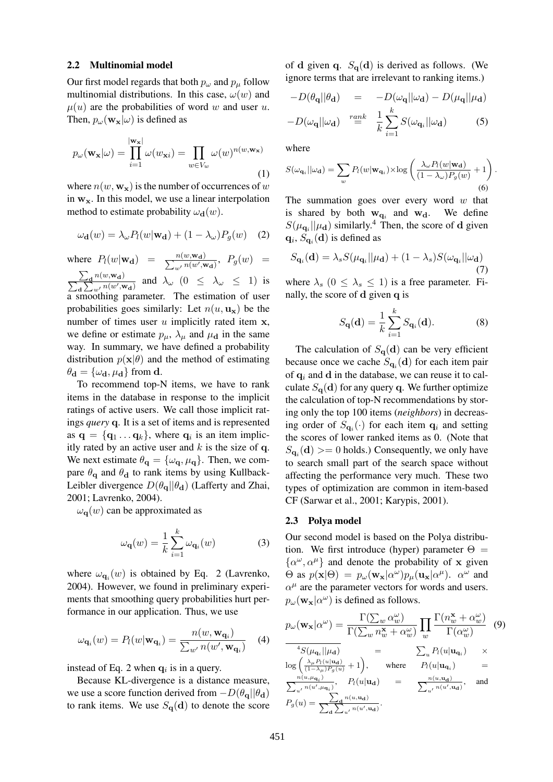#### 2.2 Multinomial model

Our first model regards that both  $p_{\omega}$  and  $p_{\mu}$  follow multinomial distributions. In this case,  $\omega(w)$  and  $\mu(u)$  are the probabilities of word w and user u. Then,  $p_{\omega}(\mathbf{w_x}|\omega)$  is defined as

$$
p_{\omega}(\mathbf{w}_{\mathbf{x}}|\omega) = \prod_{i=1}^{|\mathbf{w}_{\mathbf{x}}|} \omega(w_{\mathbf{x}i}) = \prod_{w \in V_w} \omega(w)^{n(w, \mathbf{w}_{\mathbf{x}})}
$$
(1)

where  $n(w, w_x)$  is the number of occurrences of w in  $w_x$ . In this model, we use a linear interpolation method to estimate probability  $\omega_{\bf d}(w)$ .

$$
\omega_{\mathbf{d}}(w) = \lambda_{\omega} P_l(w | \mathbf{w}_{\mathbf{d}}) + (1 - \lambda_{\omega}) P_g(w) \quad (2)
$$

where  $P_l(w|\mathbf{w_d}) = \frac{n(w, \mathbf{w_d})}{\sum_{w'} n(w', \mathbf{w_d})}, P_g(w) =$  $\overline{ }$  $\sum_{\mathbf{d}} n(w, \mathbf{w}_{\mathbf{d}})$ d  $\frac{\partial^2 u^{(w, \mathbf{w}_d)}}{\sum_{w'} n(w', \mathbf{w}_d)}$  and  $\lambda_{\omega}$   $(0 \leq \lambda_{\omega} \leq 1)$  is a smoothing parameter. The estimation of user probabilities goes similarly: Let  $n(u, \mathbf{u_x})$  be the number of times user  $u$  implicitly rated item  $x$ , we define or estimate  $p_{\mu}$ ,  $\lambda_{\mu}$  and  $\mu_{d}$  in the same way. In summary, we have defined a probability distribution  $p(x|\theta)$  and the method of estimating  $\theta_{\mathbf{d}} = {\omega_{\mathbf{d}}, \mu_{\mathbf{d}}}$  from **d**.

To recommend top-N items, we have to rank items in the database in response to the implicit ratings of active users. We call those implicit ratings *query* q. It is a set of items and is represented as  $\mathbf{q} = \{ \mathbf{q}_1 \dots \mathbf{q}_k \}$ , where  $\mathbf{q}_i$  is an item implicitly rated by an active user and  $k$  is the size of q. We next estimate  $\theta_{\mathbf{q}} = {\{\omega_{\mathbf{q}}, \mu_{\mathbf{q}}\}}$ . Then, we compare  $\theta_{q}$  and  $\theta_{q}$  to rank items by using Kullback-Leibler divergence  $D(\theta_{\mathbf{q}}||\theta_{\mathbf{d}})$  (Lafferty and Zhai, 2001; Lavrenko, 2004).

 $\omega_{\bf q}(w)$  can be approximated as

$$
\omega_{\mathbf{q}}(w) = \frac{1}{k} \sum_{i=1}^{k} \omega_{\mathbf{q}_i}(w)
$$
 (3)

where  $\omega_{\mathbf{q}_i}(w)$  is obtained by Eq. 2 (Lavrenko, 2004). However, we found in preliminary experiments that smoothing query probabilities hurt performance in our application. Thus, we use

$$
\omega_{\mathbf{q}_i}(w) = P_l(w|\mathbf{w}_{\mathbf{q}_i}) = \frac{n(w, \mathbf{w}_{\mathbf{q}_i})}{\sum_{w'} n(w', \mathbf{w}_{\mathbf{q}_i})}
$$
(4)

instead of Eq. 2 when  $q_i$  is in a query.

Because KL-divergence is a distance measure, we use a score function derived from  $-D(\theta_{q}||\theta_{d})$ to rank items. We use  $S_{q}(d)$  to denote the score

of d given q.  $S_{q}(d)$  is derived as follows. (We ignore terms that are irrelevant to ranking items.)

$$
-D(\theta_{\mathbf{q}}||\theta_{\mathbf{d}}) = -D(\omega_{\mathbf{q}}||\omega_{\mathbf{d}}) - D(\mu_{\mathbf{q}}||\mu_{\mathbf{d}})
$$

$$
-D(\omega_{\mathbf{q}}||\omega_{\mathbf{d}}) \stackrel{rank}{=} \frac{1}{k} \sum_{i=1}^{k} S(\omega_{\mathbf{q}_i}||\omega_{\mathbf{d}}) \tag{5}
$$

where

$$
S(\omega_{\mathbf{q}_i}||\omega_{\mathbf{d}}) = \sum_{w} P_l(w|\mathbf{w}_{\mathbf{q}_i}) \times \log \left(\frac{\lambda_{\omega} P_l(w|\mathbf{w}_{\mathbf{d}})}{(1-\lambda_{\omega})P_g(w)} + 1\right).
$$
\n(6)

The summation goes over every word  $w$  that is shared by both  $w_{q_i}$  and  $w_d$ . We define  $S(\mu_{\mathbf{q}_i}||\mu_{\mathbf{d}})$  similarly.<sup>4</sup> Then, the score of d given  $\mathbf{q}_i$ ,  $S_{\mathbf{q}_i}(\mathbf{d})$  is defined as

$$
S_{\mathbf{q}_i}(\mathbf{d}) = \lambda_s S(\mu_{\mathbf{q}_i}||\mu_{\mathbf{d}}) + (1 - \lambda_s)S(\omega_{\mathbf{q}_i}||\omega_{\mathbf{d}})
$$
\n(7)

where  $\lambda_s$  ( $0 \leq \lambda_s \leq 1$ ) is a free parameter. Finally, the score of d given q is

$$
S_{\mathbf{q}}(\mathbf{d}) = \frac{1}{k} \sum_{i=1}^{k} S_{\mathbf{q}_i}(\mathbf{d}).
$$
 (8)

The calculation of  $S_{q}(d)$  can be very efficient because once we cache  $S_{\mathbf{q}_i}(\mathbf{d})$  for each item pair of  $q_i$  and d in the database, we can reuse it to calculate  $S_{q}(d)$  for any query q. We further optimize the calculation of top-N recommendations by storing only the top 100 items (*neighbors*) in decreasing order of  $S_{\mathbf{q}_i}(\cdot)$  for each item  $\mathbf{q}_i$  and setting the scores of lower ranked items as 0. (Note that  $S_{\mathbf{q}_i}(\mathbf{d}) \geq 0$  holds.) Consequently, we only have to search small part of the search space without affecting the performance very much. These two types of optimization are common in item-based CF (Sarwar et al., 2001; Karypis, 2001).

#### 2.3 Polya model

Our second model is based on the Polya distribution. We first introduce (hyper) parameter  $\Theta =$  $\{\alpha^{\omega}, \alpha^{\mu}\}\$ and denote the probability of x given  $\Theta$  as  $p(\mathbf{x}|\Theta) = p_\omega(\mathbf{w}_\mathbf{x}|\alpha^\omega)p_\mu(\mathbf{u}_\mathbf{x}|\alpha^\mu)$ .  $\alpha^\omega$  and  $\alpha^{\mu}$  are the parameter vectors for words and users.  $p_\omega(\mathbf{w_x}|\alpha^\omega)$  is defined as follows.

$$
p_{\omega}(\mathbf{w}_{\mathbf{x}}|\alpha^{\omega}) = \frac{\Gamma(\sum_{w}\alpha_{w}^{\omega})}{\Gamma(\sum_{w}n_{w}^{\mathbf{x}}+\alpha_{w}^{\omega})} \prod_{w} \frac{\Gamma(n_{w}^{\mathbf{x}}+\alpha_{w}^{\omega})}{\Gamma(\alpha_{w}^{\omega})} \quad (9)
$$
  
\n
$$
\frac{{}^{4}S(\mu_{\mathbf{q}_{i}}||\mu_{\mathbf{d}})}{[\frac{\lambda_{\mu}P_{t}(u|\mathbf{u}_{\mathbf{d}})}{(\frac{1-\lambda_{\mu})P_{g}(u)}+1}]}, \quad \text{where} \quad P_{t}(u|\mathbf{u}_{\mathbf{q}_{i}}) \quad \text{where}
$$
  
\n
$$
\frac{n(u,\mu_{\mathbf{q}_{i}})}{\sum_{u'} n(u',\mu_{\mathbf{q}_{i}})}, \quad P_{t}(u|\mathbf{u}_{\mathbf{d}}) \quad = \quad \frac{n(u,\mathbf{u}_{\mathbf{d}})}{\sum_{u'} n(u',\mathbf{u}_{\mathbf{d}})}, \quad \text{and}
$$
  
\n
$$
P_{g}(u) = \frac{\sum_{\mathbf{d}} n(u,\mathbf{u}_{\mathbf{d}})}{\sum_{u'} n(u',\mathbf{u}_{\mathbf{d}})}.
$$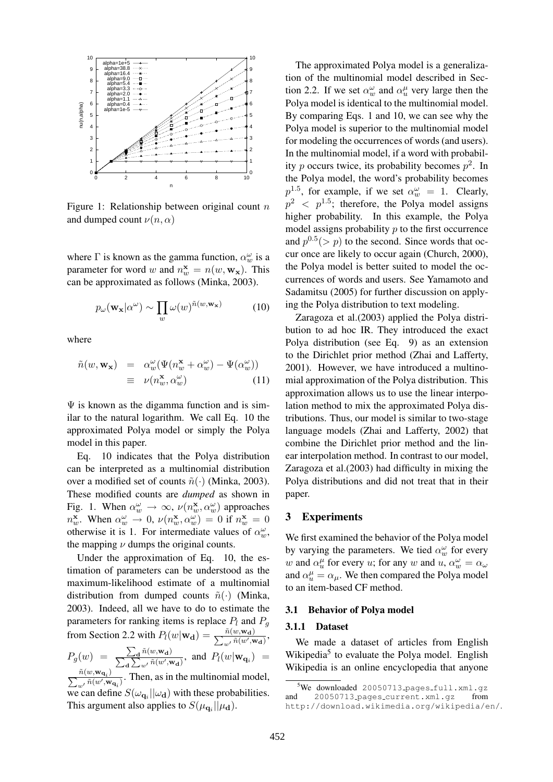

Figure 1: Relationship between original count  $n$ and dumped count  $\nu(n, \alpha)$ 

where  $\Gamma$  is known as the gamma function,  $\alpha_w^{\omega}$  is a parameter for word w and  $n_w^{\mathbf{x}} = n(w, \mathbf{w}_x)$ . This can be approximated as follows (Minka, 2003).

$$
p_{\omega}(\mathbf{w_x}|\alpha^{\omega}) \sim \prod_{w} \omega(w)^{\tilde{n}(w, \mathbf{w_x})}
$$
 (10)

where

$$
\tilde{n}(w, \mathbf{w_x}) = \alpha_w^{\omega} (\Psi(n_w^{\mathbf{x}} + \alpha_w^{\omega}) - \Psi(\alpha_w^{\omega}))
$$
  

$$
\equiv \nu(n_w^{\mathbf{x}}, \alpha_w^{\omega})
$$
 (11)

 $\Psi$  is known as the digamma function and is similar to the natural logarithm. We call Eq. 10 the approximated Polya model or simply the Polya model in this paper.

Eq. 10 indicates that the Polya distribution can be interpreted as a multinomial distribution over a modified set of counts  $\tilde{n}(\cdot)$  (Minka, 2003). These modified counts are *dumped* as shown in Fig. 1. When  $\alpha_w^{\omega} \to \infty$ ,  $\nu(n_w^{\mathbf{x}}, \alpha_w^{\omega})$  approaches  $n_w^{\mathbf{x}}$ . When  $\alpha_w^{\omega} \to 0$ ,  $\nu(n_w^{\mathbf{x}}, \alpha_w^{\omega}) = 0$  if  $n_w^{\mathbf{x}} = 0$ otherwise it is 1. For intermediate values of  $\alpha_w^{\omega}$ , the mapping  $\nu$  dumps the original counts.

Under the approximation of Eq. 10, the estimation of parameters can be understood as the maximum-likelihood estimate of a multinomial distribution from dumped counts  $\tilde{n}(\cdot)$  (Minka, 2003). Indeed, all we have to do to estimate the parameters for ranking items is replace  $P_l$  and  $P_q$ from Section 2.2 with  $P_l(w|\mathbf{w_d}) = \frac{\tilde{n}(w, \mathbf{w_d})}{\sum_{w'} \tilde{n}(w', \mathbf{w_d})},$  $P_g(w) = \frac{\sum_{\mathbf{d}} \tilde{n}(w, \mathbf{w}_{\mathbf{d}})}{\sum_{\mathbf{d}} \sum_{\tilde{n}(w', \mathbf{w}_{\mathbf{d}})}}$  $\overline{ }$ d  $\frac{\mathcal{A}^{n(w, \mathbf{w_d})}}{\sum_{w'} \tilde{n}(w', \mathbf{w_d})}$ , and  $P_l(w|\mathbf{w_q})$  =  $\frac{\tilde{n}(w,\mathbf{w}_{\mathbf{q}_i})}{\sum_{i=1}^n w_i}$  $\frac{n(w, \mathbf{w}_{\mathbf{q}_i})}{w'}$  fi(w', $\mathbf{w}_{\mathbf{q}_i}$ ). Then, as in the multinomial model, we can define  $S(\omega_{\mathbf{q}_i}||\omega_{\mathbf{d}})$  with these probabilities. This argument also applies to  $S(\mu_{\mathbf{q}_i}||\mu_{\mathbf{d}})$ .

The approximated Polya model is a generalization of the multinomial model described in Section 2.2. If we set  $\alpha_w^{\omega}$  and  $\alpha_u^{\mu}$  very large then the Polya model is identical to the multinomial model. By comparing Eqs. 1 and 10, we can see why the Polya model is superior to the multinomial model for modeling the occurrences of words (and users). In the multinomial model, if a word with probability p occurs twice, its probability becomes  $p^2$ . In the Polya model, the word's probability becomes  $p^{1.5}$ , for example, if we set  $\alpha_w^{\omega} = 1$ . Clearly,  $p^2 \le p^{1.5}$ ; therefore, the Polya model assigns higher probability. In this example, the Polya model assigns probability  $p$  to the first occurrence and  $p^{0.5}(> p)$  to the second. Since words that occur once are likely to occur again (Church, 2000), the Polya model is better suited to model the occurrences of words and users. See Yamamoto and Sadamitsu (2005) for further discussion on applying the Polya distribution to text modeling.

Zaragoza et al.(2003) applied the Polya distribution to ad hoc IR. They introduced the exact Polya distribution (see Eq. 9) as an extension to the Dirichlet prior method (Zhai and Lafferty, 2001). However, we have introduced a multinomial approximation of the Polya distribution. This approximation allows us to use the linear interpolation method to mix the approximated Polya distributions. Thus, our model is similar to two-stage language models (Zhai and Lafferty, 2002) that combine the Dirichlet prior method and the linear interpolation method. In contrast to our model, Zaragoza et al.(2003) had difficulty in mixing the Polya distributions and did not treat that in their paper.

### 3 Experiments

We first examined the behavior of the Polya model by varying the parameters. We tied  $\alpha_w^{\omega}$  for every w and  $\alpha_u^{\mu}$  for every u; for any w and  $u, \alpha_w^{\omega} = \alpha_{\omega}$ and  $\alpha_u^{\mu} = \alpha_{\mu}$ . We then compared the Polya model to an item-based CF method.

#### 3.1 Behavior of Polya model

#### 3.1.1 Dataset

We made a dataset of articles from English Wikipedia<sup>5</sup> to evaluate the Polya model. English Wikipedia is an online encyclopedia that anyone

 $5$ We downloaded 20050713 pages full.xml.gz and 20050713 pages current.xml.gz from http://download.wikimedia.org/wikipedia/en/.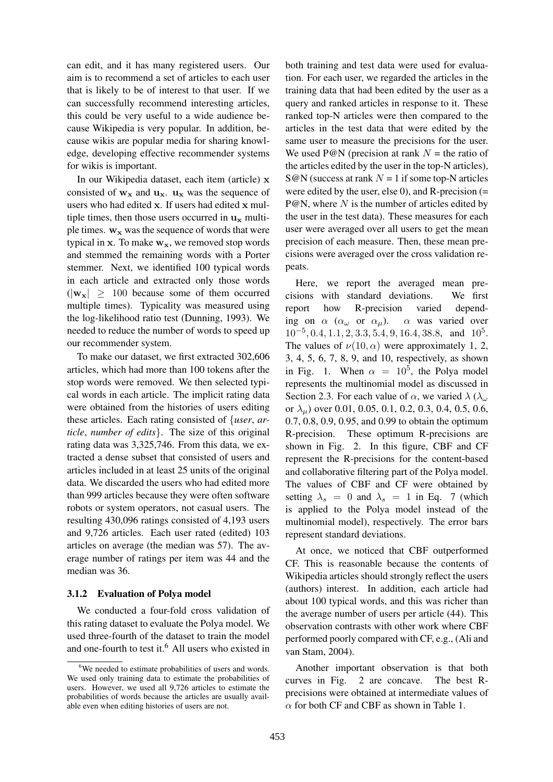can edit, and it has many registered users. Our aim is to recommend a set of articles to each user that is likely to be of interest to that user. If we can successfully recommend interesting articles, this could be very useful to a wide audience because Wikipedia is very popular. In addition, because wikis are popular media for sharing knowledge, developing effective recommender systems for wikis is important.

In our Wikipedia dataset, each item (article) x consisted of  $w_x$  and  $u_x$ .  $u_x$  was the sequence of users who had edited x. If users had edited x multiple times, then those users occurred in  $\mathbf{u}_{\mathbf{x}}$  multiple times.  $w_x$  was the sequence of words that were typical in x. To make  $w_x$ , we removed stop words and stemmed the remaining words with a Porter stemmer. Next, we identified 100 typical words in each article and extracted only those words  $(|w_x| > 100$  because some of them occurred multiple times). Typicality was measured using the log-likelihood ratio test (Dunning, 1993). We needed to reduce the number of words to speed up our recommender system.

To make our dataset, we first extracted 302,606 articles, which had more than 100 tokens after the stop words were removed. We then selected typical words in each article. The implicit rating data were obtained from the histories of users editing these articles. Each rating consisted of {*user*, *article*, *number of edits*}. The size of this original rating data was 3,325,746. From this data, we extracted a dense subset that consisted of users and articles included in at least 25 units of the original data. We discarded the users who had edited more than 999 articles because they were often software robots or system operators, not casual users. The resulting 430,096 ratings consisted of 4,193 users and 9,726 articles. Each user rated (edited) 103 articles on average (the median was 57). The average number of ratings per item was 44 and the median was 36.

#### 3.1.2 Evaluation of Polya model

We conducted a four-fold cross validation of this rating dataset to evaluate the Polya model. We used three-fourth of the dataset to train the model and one-fourth to test it.<sup>6</sup> All users who existed in both training and test data were used for evaluation. For each user, we regarded the articles in the training data that had been edited by the user as a query and ranked articles in response to it. These ranked top-N articles were then compared to the articles in the test data that were edited by the same user to measure the precisions for the user. We used P@N (precision at rank  $N =$  the ratio of the articles edited by the user in the top-N articles),  $S@N$  (success at rank  $N = 1$  if some top-N articles were edited by the user, else 0), and R-precision  $(=$  $P@N$ , where N is the number of articles edited by the user in the test data). These measures for each user were averaged over all users to get the mean precision of each measure. Then, these mean precisions were averaged over the cross validation repeats.

Here, we report the averaged mean precisions with standard deviations. We first report how R-precision varied depending on  $\alpha$  ( $\alpha_{\omega}$  or  $\alpha_{\mu}$ ).  $\alpha$  was varied over  $10^{-5}$ , 0.4, 1.1, 2, 3.3, 5.4, 9, 16.4, 38.8, and  $10^5$ . The values of  $\nu(10, \alpha)$  were approximately 1, 2, 3, 4, 5, 6, 7, 8, 9, and 10, respectively, as shown in Fig. 1. When  $\alpha = 10^5$ , the Polya model represents the multinomial model as discussed in Section 2.3. For each value of  $\alpha$ , we varied  $\lambda$  ( $\lambda_{\omega}$ ) or  $\lambda_{\mu}$ ) over 0.01, 0.05, 0.1, 0.2, 0.3, 0.4, 0.5, 0.6, 0.7, 0.8, 0.9, 0.95, and 0.99 to obtain the optimum R-precision. These optimum R-precisions are shown in Fig. 2. In this figure, CBF and CF represent the R-precisions for the content-based and collaborative filtering part of the Polya model. The values of CBF and CF were obtained by setting  $\lambda_s = 0$  and  $\lambda_s = 1$  in Eq. 7 (which is applied to the Polya model instead of the multinomial model), respectively. The error bars represent standard deviations.

At once, we noticed that CBF outperformed CF. This is reasonable because the contents of Wikipedia articles should strongly reflect the users (authors) interest. In addition, each article had about 100 typical words, and this was richer than the average number of users per article (44). This observation contrasts with other work where CBF performed poorly compared with CF, e.g., (Ali and van Stam, 2004).

Another important observation is that both curves in Fig. 2 are concave. The best Rprecisions were obtained at intermediate values of  $\alpha$  for both CF and CBF as shown in Table 1.

<sup>&</sup>lt;sup>6</sup>We needed to estimate probabilities of users and words. We used only training data to estimate the probabilities of users. However, we used all 9,726 articles to estimate the probabilities of words because the articles are usually available even when editing histories of users are not.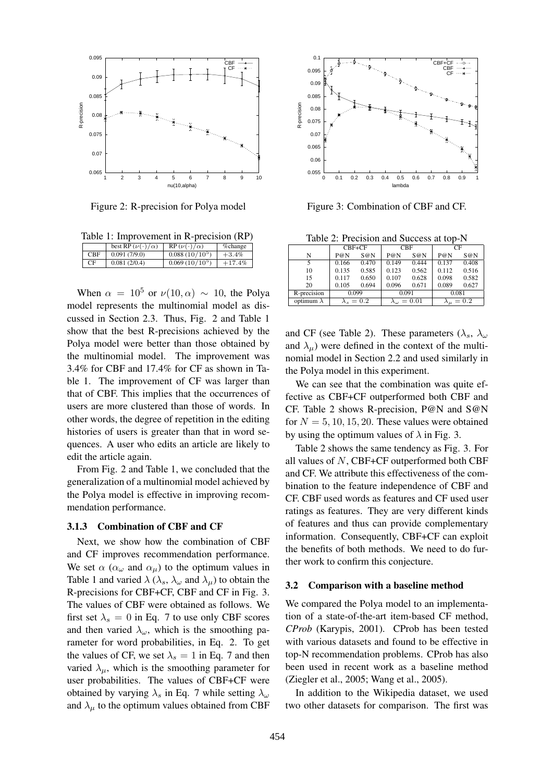

Figure 2: R-precision for Polya model

Table 1: Improvement in R-precision (RP)

|            | best RP $(\nu(\cdot)/\alpha)$ | $RP(\nu(\cdot)/\alpha)$ | % change |
|------------|-------------------------------|-------------------------|----------|
| <b>CBF</b> | 0.091(7/9.0)                  | $0.088(10/10^5)$        | $+3.4%$  |
| CF         | 0.081(2/0.4)                  | $0.069(10/10^{5})$      | $+17.4%$ |
|            |                               |                         |          |

When  $\alpha = 10^5$  or  $\nu(10, \alpha) \sim 10$ , the Polya model represents the multinomial model as discussed in Section 2.3. Thus, Fig. 2 and Table 1 show that the best R-precisions achieved by the Polya model were better than those obtained by the multinomial model. The improvement was 3.4% for CBF and 17.4% for CF as shown in Table 1. The improvement of CF was larger than that of CBF. This implies that the occurrences of users are more clustered than those of words. In other words, the degree of repetition in the editing histories of users is greater than that in word sequences. A user who edits an article are likely to edit the article again.

From Fig. 2 and Table 1, we concluded that the generalization of a multinomial model achieved by the Polya model is effective in improving recommendation performance.

#### 3.1.3 Combination of CBF and CF

Next, we show how the combination of CBF and CF improves recommendation performance. We set  $\alpha$  ( $\alpha_{\omega}$  and  $\alpha_{\mu}$ ) to the optimum values in Table 1 and varied  $\lambda$  ( $\lambda_s$ ,  $\lambda_\omega$  and  $\lambda_u$ ) to obtain the R-precisions for CBF+CF, CBF and CF in Fig. 3. The values of CBF were obtained as follows. We first set  $\lambda_s = 0$  in Eq. 7 to use only CBF scores and then varied  $\lambda_{\omega}$ , which is the smoothing parameter for word probabilities, in Eq. 2. To get the values of CF, we set  $\lambda_s = 1$  in Eq. 7 and then varied  $\lambda_{\mu}$ , which is the smoothing parameter for user probabilities. The values of CBF+CF were obtained by varying  $\lambda_s$  in Eq. 7 while setting  $\lambda_\omega$ and  $\lambda_{\mu}$  to the optimum values obtained from CBF



Figure 3: Combination of CBF and CF.

Table 2: Precision and Success at top-N

|                   | $CBF+CF$        |       | <b>CBF</b>              |       | CF                  |       |
|-------------------|-----------------|-------|-------------------------|-------|---------------------|-------|
| N                 | P@N             | S@N   | P@N                     | S@N   | P@N                 | S@N   |
|                   | 0.166           | 0.470 | 0.149                   | 0.444 | 0.137               | 0.408 |
| 10                | 0.135           | 0.585 | 0.123                   | 0.562 | 0.112               | 0.516 |
| 15                | 0.117           | 0.650 | 0.107                   | 0.628 | 0.098               | 0.582 |
| 20                | 0.105           | 0.694 | 0.096                   | 0.671 | 0.089               | 0.627 |
| R-precision       | 0.099           |       | 0.091                   |       | 0.081               |       |
| optimum $\lambda$ | $\lambda_s=0.2$ |       | $\lambda_{\omega}=0.01$ |       | $\lambda_{\mu}=0.2$ |       |

and CF (see Table 2). These parameters ( $\lambda_s$ ,  $\lambda_\omega$ ) and  $\lambda_{\mu}$ ) were defined in the context of the multinomial model in Section 2.2 and used similarly in the Polya model in this experiment.

We can see that the combination was quite effective as CBF+CF outperformed both CBF and CF. Table 2 shows R-precision, P@N and S@N for  $N = 5, 10, 15, 20$ . These values were obtained by using the optimum values of  $\lambda$  in Fig. 3.

Table 2 shows the same tendency as Fig. 3. For all values of N, CBF+CF outperformed both CBF and CF. We attribute this effectiveness of the combination to the feature independence of CBF and CF. CBF used words as features and CF used user ratings as features. They are very different kinds of features and thus can provide complementary information. Consequently, CBF+CF can exploit the benefits of both methods. We need to do further work to confirm this conjecture.

#### 3.2 Comparison with a baseline method

We compared the Polya model to an implementation of a state-of-the-art item-based CF method, *CProb* (Karypis, 2001). CProb has been tested with various datasets and found to be effective in top-N recommendation problems. CProb has also been used in recent work as a baseline method (Ziegler et al., 2005; Wang et al., 2005).

In addition to the Wikipedia dataset, we used two other datasets for comparison. The first was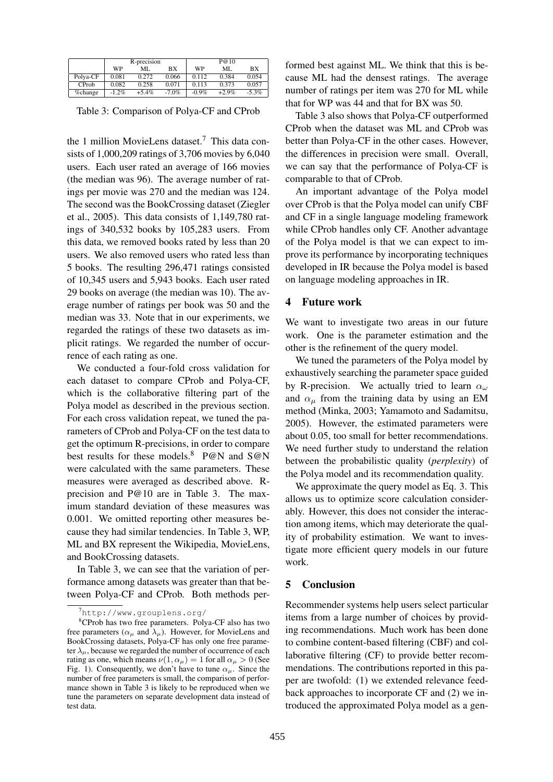|          | R-precision |          |           | P@10     |         |          |
|----------|-------------|----------|-----------|----------|---------|----------|
|          | WP          | ML.      | <b>BX</b> | WP       | ML      | BX       |
| Polya-CF | 0.081       | 0.272    | 0.066     | 0.112    | 0.384   | 0.054    |
| CProb    | 0.082       | 0.258    | 0.071     | 0.113    | 0.373   | 0.057    |
| %change  | $-1.2\%$    | $+5.4\%$ | $-7.0\%$  | $-0.9\%$ | $+2.9%$ | $-5.3\%$ |

Table 3: Comparison of Polya-CF and CProb

the 1 million MovieLens dataset.<sup>7</sup> This data consists of 1,000,209 ratings of 3,706 movies by 6,040 users. Each user rated an average of 166 movies (the median was 96). The average number of ratings per movie was 270 and the median was 124. The second was the BookCrossing dataset (Ziegler et al., 2005). This data consists of 1,149,780 ratings of 340,532 books by 105,283 users. From this data, we removed books rated by less than 20 users. We also removed users who rated less than 5 books. The resulting 296,471 ratings consisted of 10,345 users and 5,943 books. Each user rated 29 books on average (the median was 10). The average number of ratings per book was 50 and the median was 33. Note that in our experiments, we regarded the ratings of these two datasets as implicit ratings. We regarded the number of occurrence of each rating as one.

We conducted a four-fold cross validation for each dataset to compare CProb and Polya-CF, which is the collaborative filtering part of the Polya model as described in the previous section. For each cross validation repeat, we tuned the parameters of CProb and Polya-CF on the test data to get the optimum R-precisions, in order to compare best results for these models.<sup>8</sup> P@N and S@N were calculated with the same parameters. These measures were averaged as described above. Rprecision and P@10 are in Table 3. The maximum standard deviation of these measures was 0.001. We omitted reporting other measures because they had similar tendencies. In Table 3, WP, ML and BX represent the Wikipedia, MovieLens, and BookCrossing datasets.

In Table 3, we can see that the variation of performance among datasets was greater than that between Polya-CF and CProb. Both methods performed best against ML. We think that this is because ML had the densest ratings. The average number of ratings per item was 270 for ML while that for WP was 44 and that for BX was 50.

Table 3 also shows that Polya-CF outperformed CProb when the dataset was ML and CProb was better than Polya-CF in the other cases. However, the differences in precision were small. Overall, we can say that the performance of Polya-CF is comparable to that of CProb.

An important advantage of the Polya model over CProb is that the Polya model can unify CBF and CF in a single language modeling framework while CProb handles only CF. Another advantage of the Polya model is that we can expect to improve its performance by incorporating techniques developed in IR because the Polya model is based on language modeling approaches in IR.

#### 4 Future work

We want to investigate two areas in our future work. One is the parameter estimation and the other is the refinement of the query model.

We tuned the parameters of the Polya model by exhaustively searching the parameter space guided by R-precision. We actually tried to learn  $\alpha_{\omega}$ and  $\alpha_{\mu}$  from the training data by using an EM method (Minka, 2003; Yamamoto and Sadamitsu, 2005). However, the estimated parameters were about 0.05, too small for better recommendations. We need further study to understand the relation between the probabilistic quality (*perplexity*) of the Polya model and its recommendation quality.

We approximate the query model as Eq. 3. This allows us to optimize score calculation considerably. However, this does not consider the interaction among items, which may deteriorate the quality of probability estimation. We want to investigate more efficient query models in our future work.

## 5 Conclusion

Recommender systems help users select particular items from a large number of choices by providing recommendations. Much work has been done to combine content-based filtering (CBF) and collaborative filtering (CF) to provide better recommendations. The contributions reported in this paper are twofold: (1) we extended relevance feedback approaches to incorporate CF and (2) we introduced the approximated Polya model as a gen-

 $^7$ http://www.grouplens.org/

<sup>8</sup>CProb has two free parameters. Polya-CF also has two free parameters ( $\alpha_{\mu}$  and  $\lambda_{\mu}$ ). However, for MovieLens and BookCrossing datasets, Polya-CF has only one free parameter  $\lambda_{\mu}$ , because we regarded the number of occurrence of each rating as one, which means  $\nu(1, \alpha_\mu) = 1$  for all  $\alpha_\mu > 0$  (See Fig. 1). Consequently, we don't have to tune  $\alpha_{\mu}$ . Since the number of free parameters is small, the comparison of performance shown in Table 3 is likely to be reproduced when we tune the parameters on separate development data instead of test data.